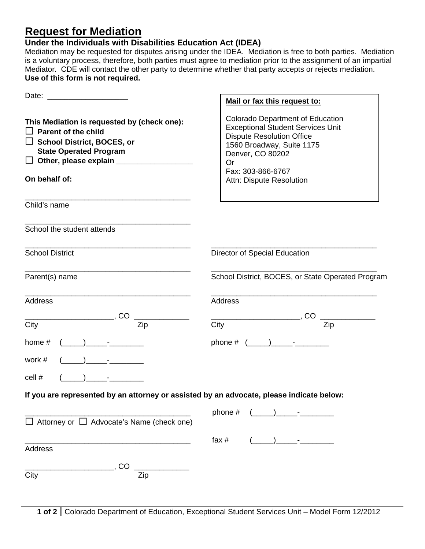## **Request for Mediation**

## **Under the Individuals with Disabilities Education Act (IDEA)**

Mediation may be requested for disputes arising under the IDEA. Mediation is free to both parties. Mediation is a voluntary process, therefore, both parties must agree to mediation prior to the assignment of an impartial Mediator. CDE will contact the other party to determine whether that party accepts or rejects mediation. **Use of this form is not required.**

|                                                                                                                                                                                                                   | Mail or fax this request to:                                                                                                                                                                                                           |
|-------------------------------------------------------------------------------------------------------------------------------------------------------------------------------------------------------------------|----------------------------------------------------------------------------------------------------------------------------------------------------------------------------------------------------------------------------------------|
| This Mediation is requested by (check one):<br><b>Parent of the child</b><br>$\Box$<br>$\Box$ School District, BOCES, or<br><b>State Operated Program</b><br>$\Box$ Other, please explain $\Box$<br>On behalf of: | <b>Colorado Department of Education</b><br><b>Exceptional Student Services Unit</b><br><b>Dispute Resolution Office</b><br>1560 Broadway, Suite 1175<br>Denver, CO 80202<br><b>Or</b><br>Fax: 303-866-6767<br>Attn: Dispute Resolution |
| Child's name                                                                                                                                                                                                      |                                                                                                                                                                                                                                        |
| School the student attends                                                                                                                                                                                        |                                                                                                                                                                                                                                        |
| <b>School District</b>                                                                                                                                                                                            | Director of Special Education                                                                                                                                                                                                          |
| Parent(s) name                                                                                                                                                                                                    | School District, BOCES, or State Operated Program                                                                                                                                                                                      |
| Address                                                                                                                                                                                                           | Address                                                                                                                                                                                                                                |
| $\overline{Zip}$<br>City                                                                                                                                                                                          | $\overline{\phantom{a}}$ , CO<br>Zip<br>City                                                                                                                                                                                           |
| $($ ) $-$<br>home $#$                                                                                                                                                                                             | phone # $(\_\_)$ - -                                                                                                                                                                                                                   |
| work #                                                                                                                                                                                                            |                                                                                                                                                                                                                                        |
| cell #                                                                                                                                                                                                            |                                                                                                                                                                                                                                        |
| If you are represented by an attorney or assisted by an advocate, please indicate below:                                                                                                                          |                                                                                                                                                                                                                                        |
| $\Box$ Attorney or $\Box$ Advocate's Name (check one)                                                                                                                                                             | phone #                                                                                                                                                                                                                                |
| Address                                                                                                                                                                                                           | fax $#$                                                                                                                                                                                                                                |
| <b>CO</b><br>City<br>Zip                                                                                                                                                                                          |                                                                                                                                                                                                                                        |